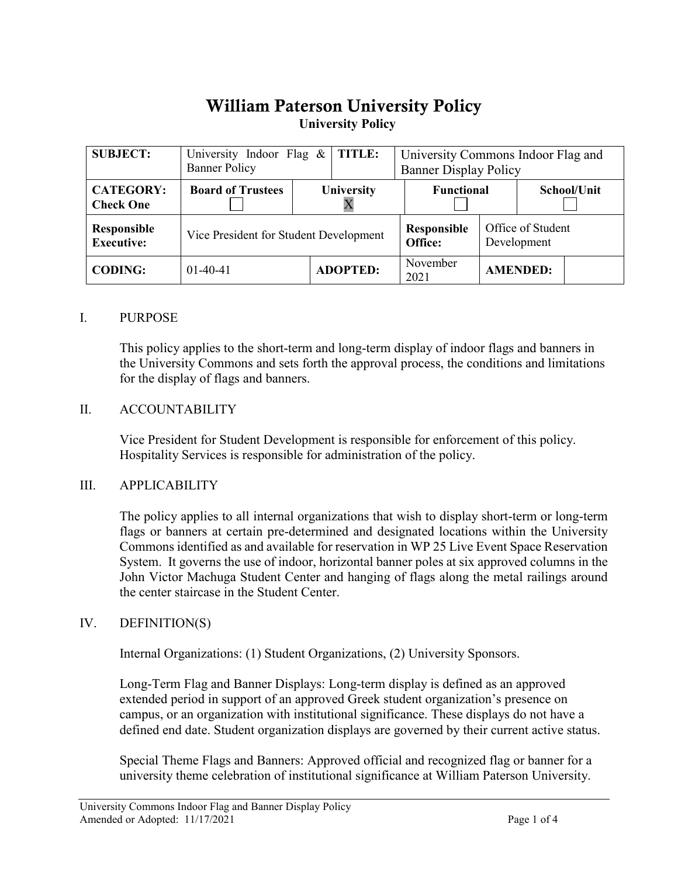# William Paterson University Policy**University Policy**

| <b>SUBJECT:</b>                         | University Indoor Flag &<br><b>Banner Policy</b> | <b>TITLE:</b>   |  | University Commons Indoor Flag and<br><b>Banner Display Policy</b> |                                  |                 |
|-----------------------------------------|--------------------------------------------------|-----------------|--|--------------------------------------------------------------------|----------------------------------|-----------------|
| <b>CATEGORY:</b><br><b>Check One</b>    | <b>Board of Trustees</b>                         | University      |  | <b>Functional</b>                                                  |                                  | School/Unit     |
| <b>Responsible</b><br><b>Executive:</b> | Vice President for Student Development           |                 |  | <b>Responsible</b><br>Office:                                      | Office of Student<br>Development |                 |
| <b>CODING:</b>                          | $01-40-41$                                       | <b>ADOPTED:</b> |  | November<br>2021                                                   |                                  | <b>AMENDED:</b> |

#### I. PURPOSE

This policy applies to the short-term and long-term display of indoor flags and banners in the University Commons and sets forth the approval process, the conditions and limitations for the display of flags and banners.

#### II. ACCOUNTABILITY

Vice President for Student Development is responsible for enforcement of this policy. Hospitality Services is responsible for administration of the policy.

#### III. APPLICABILITY

The policy applies to all internal organizations that wish to display short-term or long-term flags or banners at certain pre-determined and designated locations within the University Commons identified as and available for reservation in WP 25 Live Event Space Reservation System. It governs the use of indoor, horizontal banner poles at six approved columns in the John Victor Machuga Student Center and hanging of flags along the metal railings around the center staircase in the Student Center.

#### IV. DEFINITION(S)

Internal Organizations: (1) Student Organizations, (2) University Sponsors.

Long-Term Flag and Banner Displays: Long-term display is defined as an approved extended period in support of an approved Greek student organization's presence on campus, or an organization with institutional significance. These displays do not have a defined end date. Student organization displays are governed by their current active status.

Special Theme Flags and Banners: Approved official and recognized flag or banner for a university theme celebration of institutional significance at William Paterson University.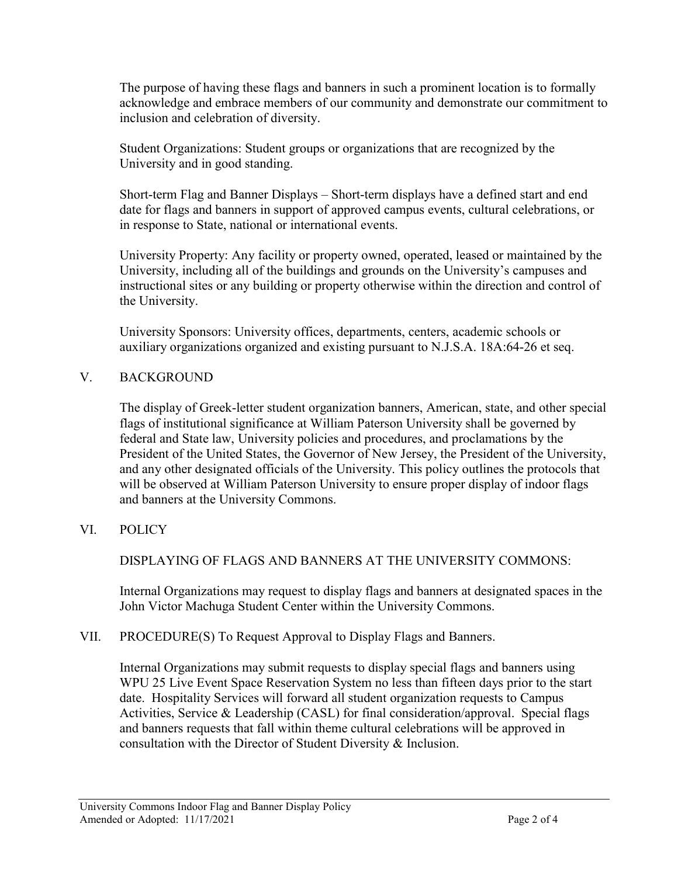The purpose of having these flags and banners in such a prominent location is to formally acknowledge and embrace members of our community and demonstrate our commitment to inclusion and celebration of diversity.

Student Organizations: Student groups or organizations that are recognized by the University and in good standing.

Short-term Flag and Banner Displays – Short-term displays have a defined start and end date for flags and banners in support of approved campus events, cultural celebrations, or in response to State, national or international events.

University Property: Any facility or property owned, operated, leased or maintained by the University, including all of the buildings and grounds on the University's campuses and instructional sites or any building or property otherwise within the direction and control of the University.

University Sponsors: University offices, departments, centers, academic schools or auxiliary organizations organized and existing pursuant to N.J.S.A. 18A:64-26 et seq.

# V. BACKGROUND

The display of Greek-letter student organization banners, American, state, and other special flags of institutional significance at William Paterson University shall be governed by federal and State law, University policies and procedures, and proclamations by the President of the United States, the Governor of New Jersey, the President of the University, and any other designated officials of the University. This policy outlines the protocols that will be observed at William Paterson University to ensure proper display of indoor flags and banners at the University Commons.

# VI. POLICY

DISPLAYING OF FLAGS AND BANNERS AT THE UNIVERSITY COMMONS:

Internal Organizations may request to display flags and banners at designated spaces in the John Victor Machuga Student Center within the University Commons.

### VII. PROCEDURE(S) To Request Approval to Display Flags and Banners.

Internal Organizations may submit requests to display special flags and banners using WPU 25 Live Event Space Reservation System no less than fifteen days prior to the start date. Hospitality Services will forward all student organization requests to Campus Activities, Service & Leadership (CASL) for final consideration/approval. Special flags and banners requests that fall within theme cultural celebrations will be approved in consultation with the Director of Student Diversity & Inclusion.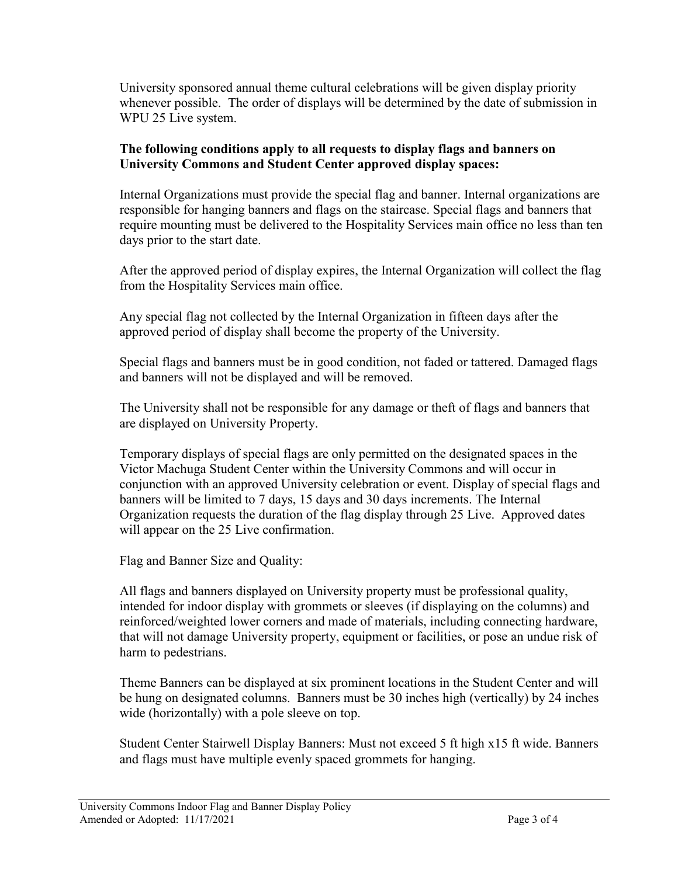University sponsored annual theme cultural celebrations will be given display priority whenever possible. The order of displays will be determined by the date of submission in WPU 25 Live system.

# **The following conditions apply to all requests to display flags and banners on University Commons and Student Center approved display spaces:**

Internal Organizations must provide the special flag and banner. Internal organizations are responsible for hanging banners and flags on the staircase. Special flags and banners that require mounting must be delivered to the Hospitality Services main office no less than ten days prior to the start date.

After the approved period of display expires, the Internal Organization will collect the flag from the Hospitality Services main office.

Any special flag not collected by the Internal Organization in fifteen days after the approved period of display shall become the property of the University.

Special flags and banners must be in good condition, not faded or tattered. Damaged flags and banners will not be displayed and will be removed.

The University shall not be responsible for any damage or theft of flags and banners that are displayed on University Property.

Temporary displays of special flags are only permitted on the designated spaces in the Victor Machuga Student Center within the University Commons and will occur in conjunction with an approved University celebration or event. Display of special flags and banners will be limited to 7 days, 15 days and 30 days increments. The Internal Organization requests the duration of the flag display through 25 Live. Approved dates will appear on the 25 Live confirmation.

Flag and Banner Size and Quality:

All flags and banners displayed on University property must be professional quality, intended for indoor display with grommets or sleeves (if displaying on the columns) and reinforced/weighted lower corners and made of materials, including connecting hardware, that will not damage University property, equipment or facilities, or pose an undue risk of harm to pedestrians.

Theme Banners can be displayed at six prominent locations in the Student Center and will be hung on designated columns. Banners must be 30 inches high (vertically) by 24 inches wide (horizontally) with a pole sleeve on top.

Student Center Stairwell Display Banners: Must not exceed 5 ft high x15 ft wide. Banners and flags must have multiple evenly spaced grommets for hanging.